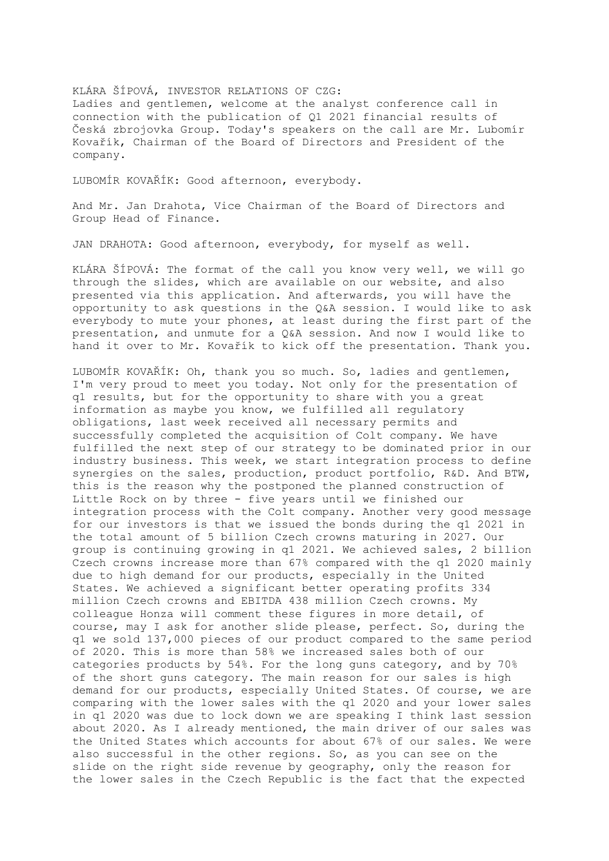## KLÁRA ŠÍPOVÁ, INVESTOR RELATIONS OF CZG:

Ladies and gentlemen, welcome at the analyst conference call in connection with the publication of Q1 2021 financial results of Česká zbrojovka Group. Today's speakers on the call are Mr. Lubomír Kovařík, Chairman of the Board of Directors and President of the company.

LUBOMÍR KOVAŘÍK: Good afternoon, everybody.

And Mr. Jan Drahota, Vice Chairman of the Board of Directors and Group Head of Finance.

JAN DRAHOTA: Good afternoon, everybody, for myself as well.

KLÁRA ŠÍPOVÁ: The format of the call you know very well, we will go through the slides, which are available on our website, and also presented via this application. And afterwards, you will have the opportunity to ask questions in the Q&A session. I would like to ask everybody to mute your phones, at least during the first part of the presentation, and unmute for a Q&A session. And now I would like to hand it over to Mr. Kovařík to kick off the presentation. Thank you.

LUBOMÍR KOVAŘÍK: Oh, thank you so much. So, ladies and gentlemen, I'm very proud to meet you today. Not only for the presentation of q1 results, but for the opportunity to share with you a great information as maybe you know, we fulfilled all regulatory obligations, last week received all necessary permits and successfully completed the acquisition of Colt company. We have fulfilled the next step of our strategy to be dominated prior in our industry business. This week, we start integration process to define synergies on the sales, production, product portfolio, R&D. And BTW, this is the reason why the postponed the planned construction of Little Rock on by three - five years until we finished our integration process with the Colt company. Another very good message for our investors is that we issued the bonds during the q1 2021 in the total amount of 5 billion Czech crowns maturing in 2027. Our group is continuing growing in q1 2021. We achieved sales, 2 billion Czech crowns increase more than 67% compared with the q1 2020 mainly due to high demand for our products, especially in the United States. We achieved a significant better operating profits 334 million Czech crowns and EBITDA 438 million Czech crowns. My colleague Honza will comment these figures in more detail, of course, may I ask for another slide please, perfect. So, during the q1 we sold 137,000 pieces of our product compared to the same period of 2020. This is more than 58% we increased sales both of our categories products by 54%. For the long guns category, and by 70% of the short guns category. The main reason for our sales is high demand for our products, especially United States. Of course, we are comparing with the lower sales with the q1 2020 and your lower sales in q1 2020 was due to lock down we are speaking I think last session about 2020. As I already mentioned, the main driver of our sales was the United States which accounts for about 67% of our sales. We were also successful in the other regions. So, as you can see on the slide on the right side revenue by geography, only the reason for the lower sales in the Czech Republic is the fact that the expected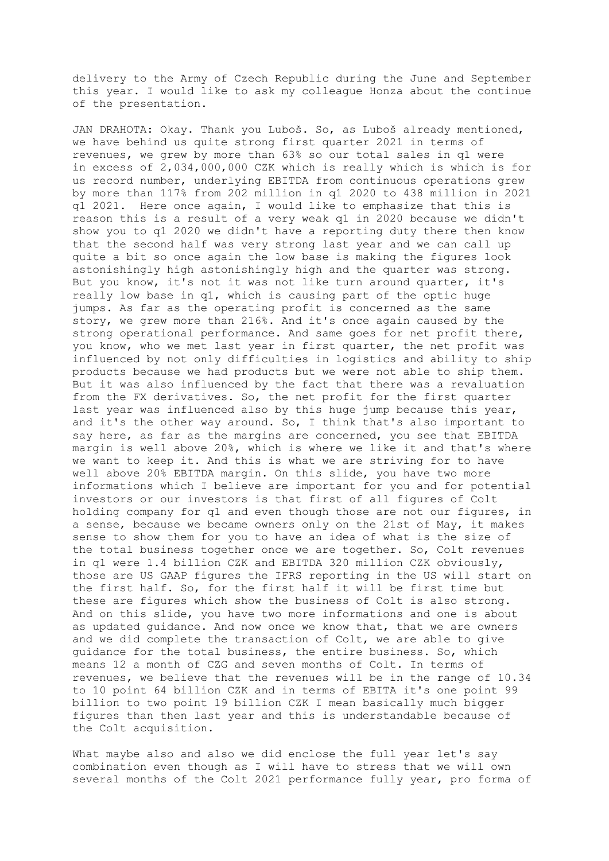delivery to the Army of Czech Republic during the June and September this year. I would like to ask my colleague Honza about the continue of the presentation.

JAN DRAHOTA: Okay. Thank you Luboš. So, as Luboš already mentioned, we have behind us quite strong first quarter 2021 in terms of revenues, we grew by more than 63% so our total sales in q1 were in excess of 2,034,000,000 CZK which is really which is which is for us record number, underlying EBITDA from continuous operations grew by more than 117% from 202 million in q1 2020 to 438 million in 2021 q1 2021. Here once again, I would like to emphasize that this is reason this is a result of a very weak q1 in 2020 because we didn't show you to q1 2020 we didn't have a reporting duty there then know that the second half was very strong last year and we can call up quite a bit so once again the low base is making the figures look astonishingly high astonishingly high and the quarter was strong. But you know, it's not it was not like turn around quarter, it's really low base in q1, which is causing part of the optic huge jumps. As far as the operating profit is concerned as the same story, we grew more than 216%. And it's once again caused by the strong operational performance. And same goes for net profit there, you know, who we met last year in first quarter, the net profit was influenced by not only difficulties in logistics and ability to ship products because we had products but we were not able to ship them. But it was also influenced by the fact that there was a revaluation from the FX derivatives. So, the net profit for the first quarter last year was influenced also by this huge jump because this year, and it's the other way around. So, I think that's also important to say here, as far as the margins are concerned, you see that EBITDA margin is well above 20%, which is where we like it and that's where we want to keep it. And this is what we are striving for to have well above 20% EBITDA margin. On this slide, you have two more informations which I believe are important for you and for potential investors or our investors is that first of all figures of Colt holding company for q1 and even though those are not our figures, in a sense, because we became owners only on the 21st of May, it makes sense to show them for you to have an idea of what is the size of the total business together once we are together. So, Colt revenues in q1 were 1.4 billion CZK and EBITDA 320 million CZK obviously, those are US GAAP figures the IFRS reporting in the US will start on the first half. So, for the first half it will be first time but these are figures which show the business of Colt is also strong. And on this slide, you have two more informations and one is about as updated guidance. And now once we know that, that we are owners and we did complete the transaction of Colt, we are able to give guidance for the total business, the entire business. So, which means 12 a month of CZG and seven months of Colt. In terms of revenues, we believe that the revenues will be in the range of 10.34 to 10 point 64 billion CZK and in terms of EBITA it's one point 99 billion to two point 19 billion CZK I mean basically much bigger figures than then last year and this is understandable because of the Colt acquisition.

What maybe also and also we did enclose the full year let's say combination even though as I will have to stress that we will own several months of the Colt 2021 performance fully year, pro forma of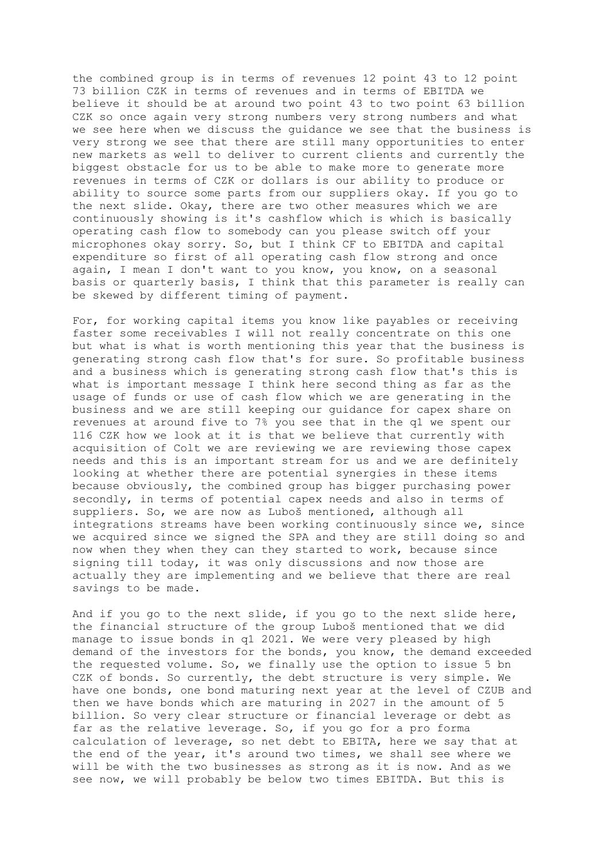the combined group is in terms of revenues 12 point 43 to 12 point 73 billion CZK in terms of revenues and in terms of EBITDA we believe it should be at around two point 43 to two point 63 billion CZK so once again very strong numbers very strong numbers and what we see here when we discuss the guidance we see that the business is very strong we see that there are still many opportunities to enter new markets as well to deliver to current clients and currently the biggest obstacle for us to be able to make more to generate more revenues in terms of CZK or dollars is our ability to produce or ability to source some parts from our suppliers okay. If you go to the next slide. Okay, there are two other measures which we are continuously showing is it's cashflow which is which is basically operating cash flow to somebody can you please switch off your microphones okay sorry. So, but I think CF to EBITDA and capital expenditure so first of all operating cash flow strong and once again, I mean I don't want to you know, you know, on a seasonal basis or quarterly basis, I think that this parameter is really can be skewed by different timing of payment.

For, for working capital items you know like payables or receiving faster some receivables I will not really concentrate on this one but what is what is worth mentioning this year that the business is generating strong cash flow that's for sure. So profitable business and a business which is generating strong cash flow that's this is what is important message I think here second thing as far as the usage of funds or use of cash flow which we are generating in the business and we are still keeping our guidance for capex share on revenues at around five to 7% you see that in the q1 we spent our 116 CZK how we look at it is that we believe that currently with acquisition of Colt we are reviewing we are reviewing those capex needs and this is an important stream for us and we are definitely looking at whether there are potential synergies in these items because obviously, the combined group has bigger purchasing power secondly, in terms of potential capex needs and also in terms of suppliers. So, we are now as Luboš mentioned, although all integrations streams have been working continuously since we, since we acquired since we signed the SPA and they are still doing so and now when they when they can they started to work, because since signing till today, it was only discussions and now those are actually they are implementing and we believe that there are real savings to be made.

And if you go to the next slide, if you go to the next slide here, the financial structure of the group Luboš mentioned that we did manage to issue bonds in q1 2021. We were very pleased by high demand of the investors for the bonds, you know, the demand exceeded the requested volume. So, we finally use the option to issue 5 bn CZK of bonds. So currently, the debt structure is very simple. We have one bonds, one bond maturing next year at the level of CZUB and then we have bonds which are maturing in 2027 in the amount of 5 billion. So very clear structure or financial leverage or debt as far as the relative leverage. So, if you go for a pro forma calculation of leverage, so net debt to EBITA, here we say that at the end of the year, it's around two times, we shall see where we will be with the two businesses as strong as it is now. And as we see now, we will probably be below two times EBITDA. But this is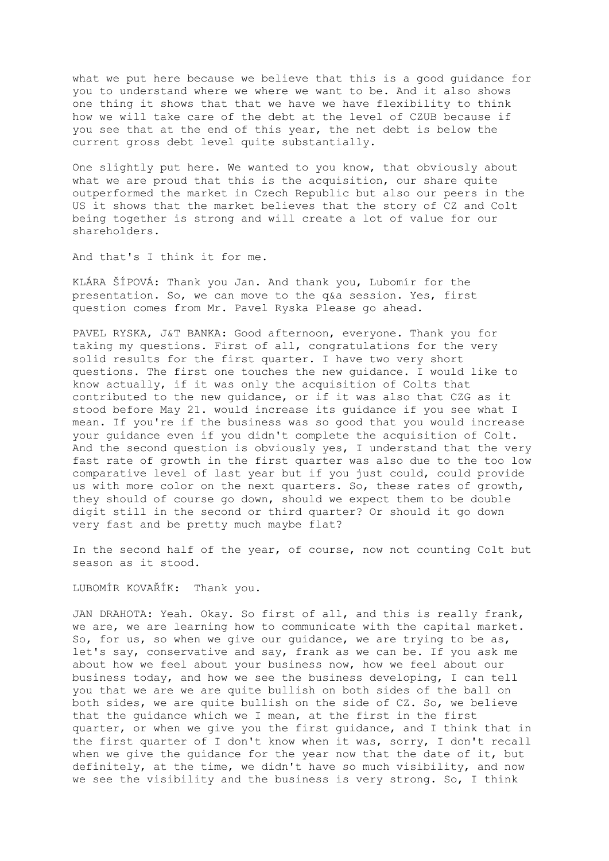what we put here because we believe that this is a good guidance for you to understand where we where we want to be. And it also shows one thing it shows that that we have we have flexibility to think how we will take care of the debt at the level of CZUB because if you see that at the end of this year, the net debt is below the current gross debt level quite substantially.

One slightly put here. We wanted to you know, that obviously about what we are proud that this is the acquisition, our share quite outperformed the market in Czech Republic but also our peers in the US it shows that the market believes that the story of CZ and Colt being together is strong and will create a lot of value for our shareholders.

And that's I think it for me.

KLÁRA ŠÍPOVÁ: Thank you Jan. And thank you, Lubomír for the presentation. So, we can move to the q&a session. Yes, first question comes from Mr. Pavel Ryska Please go ahead.

PAVEL RYSKA, J&T BANKA: Good afternoon, everyone. Thank you for taking my questions. First of all, congratulations for the very solid results for the first quarter. I have two very short questions. The first one touches the new guidance. I would like to know actually, if it was only the acquisition of Colts that contributed to the new guidance, or if it was also that CZG as it stood before May 21. would increase its guidance if you see what I mean. If you're if the business was so good that you would increase your guidance even if you didn't complete the acquisition of Colt. And the second question is obviously yes, I understand that the very fast rate of growth in the first quarter was also due to the too low comparative level of last year but if you just could, could provide us with more color on the next quarters. So, these rates of growth, they should of course go down, should we expect them to be double digit still in the second or third quarter? Or should it go down very fast and be pretty much maybe flat?

In the second half of the year, of course, now not counting Colt but season as it stood.

LUBOMÍR KOVAŘÍK: Thank you.

JAN DRAHOTA: Yeah. Okay. So first of all, and this is really frank, we are, we are learning how to communicate with the capital market. So, for us, so when we give our guidance, we are trying to be as, let's say, conservative and say, frank as we can be. If you ask me about how we feel about your business now, how we feel about our business today, and how we see the business developing, I can tell you that we are we are quite bullish on both sides of the ball on both sides, we are quite bullish on the side of CZ. So, we believe that the guidance which we I mean, at the first in the first quarter, or when we give you the first guidance, and I think that in the first quarter of I don't know when it was, sorry, I don't recall when we give the guidance for the year now that the date of it, but definitely, at the time, we didn't have so much visibility, and now we see the visibility and the business is very strong. So, I think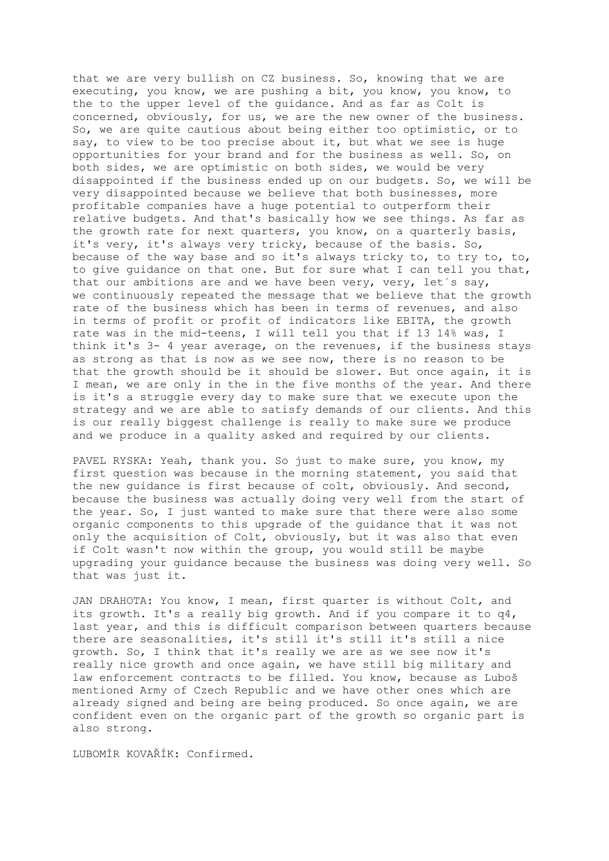that we are very bullish on CZ business. So, knowing that we are executing, you know, we are pushing a bit, you know, you know, to the to the upper level of the guidance. And as far as Colt is concerned, obviously, for us, we are the new owner of the business. So, we are quite cautious about being either too optimistic, or to say, to view to be too precise about it, but what we see is huge opportunities for your brand and for the business as well. So, on both sides, we are optimistic on both sides, we would be very disappointed if the business ended up on our budgets. So, we will be very disappointed because we believe that both businesses, more profitable companies have a huge potential to outperform their relative budgets. And that's basically how we see things. As far as the growth rate for next quarters, you know, on a quarterly basis, it's very, it's always very tricky, because of the basis. So, because of the way base and so it's always tricky to, to try to, to, to give guidance on that one. But for sure what I can tell you that, that our ambitions are and we have been very, very, let's say, we continuously repeated the message that we believe that the growth rate of the business which has been in terms of revenues, and also in terms of profit or profit of indicators like EBITA, the growth rate was in the mid-teens, I will tell you that if 13 14% was, I think it's 3- 4 year average, on the revenues, if the business stays as strong as that is now as we see now, there is no reason to be that the growth should be it should be slower. But once again, it is I mean, we are only in the in the five months of the year. And there is it's a struggle every day to make sure that we execute upon the strategy and we are able to satisfy demands of our clients. And this is our really biggest challenge is really to make sure we produce and we produce in a quality asked and required by our clients.

PAVEL RYSKA: Yeah, thank you. So just to make sure, you know, my first question was because in the morning statement, you said that the new guidance is first because of colt, obviously. And second, because the business was actually doing very well from the start of the year. So, I just wanted to make sure that there were also some organic components to this upgrade of the guidance that it was not only the acquisition of Colt, obviously, but it was also that even if Colt wasn't now within the group, you would still be maybe upgrading your guidance because the business was doing very well. So that was just it.

JAN DRAHOTA: You know, I mean, first quarter is without Colt, and its growth. It's a really big growth. And if you compare it to q4, last year, and this is difficult comparison between quarters because there are seasonalities, it's still it's still it's still a nice growth. So, I think that it's really we are as we see now it's really nice growth and once again, we have still big military and law enforcement contracts to be filled. You know, because as Luboš mentioned Army of Czech Republic and we have other ones which are already signed and being are being produced. So once again, we are confident even on the organic part of the growth so organic part is also strong.

LUBOMÍR KOVAŘÍK: Confirmed.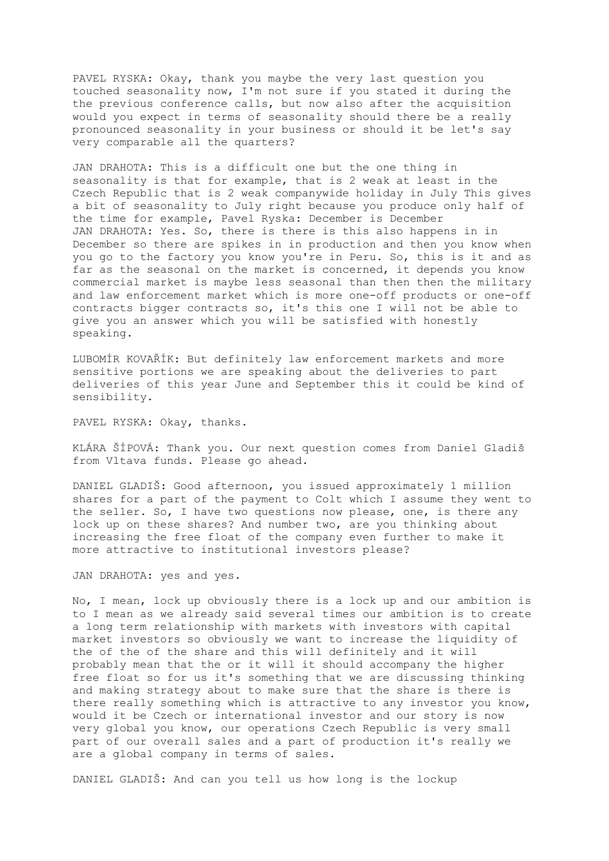PAVEL RYSKA: Okay, thank you maybe the very last question you touched seasonality now, I'm not sure if you stated it during the the previous conference calls, but now also after the acquisition would you expect in terms of seasonality should there be a really pronounced seasonality in your business or should it be let's say very comparable all the quarters?

JAN DRAHOTA: This is a difficult one but the one thing in seasonality is that for example, that is 2 weak at least in the Czech Republic that is 2 weak companywide holiday in July This gives a bit of seasonality to July right because you produce only half of the time for example, Pavel Ryska: December is December JAN DRAHOTA: Yes. So, there is there is this also happens in in December so there are spikes in in production and then you know when you go to the factory you know you're in Peru. So, this is it and as far as the seasonal on the market is concerned, it depends you know commercial market is maybe less seasonal than then then the military and law enforcement market which is more one-off products or one-off contracts bigger contracts so, it's this one I will not be able to give you an answer which you will be satisfied with honestly speaking.

LUBOMÍR KOVAŘÍK: But definitely law enforcement markets and more sensitive portions we are speaking about the deliveries to part deliveries of this year June and September this it could be kind of sensibility.

PAVEL RYSKA: Okay, thanks.

KLÁRA ŠÍPOVÁ: Thank you. Our next question comes from Daniel Gladiš from Vltava funds. Please go ahead.

DANIEL GLADIŠ: Good afternoon, you issued approximately 1 million shares for a part of the payment to Colt which I assume they went to the seller. So, I have two questions now please, one, is there any lock up on these shares? And number two, are you thinking about increasing the free float of the company even further to make it more attractive to institutional investors please?

JAN DRAHOTA: yes and yes.

No, I mean, lock up obviously there is a lock up and our ambition is to I mean as we already said several times our ambition is to create a long term relationship with markets with investors with capital market investors so obviously we want to increase the liquidity of the of the of the share and this will definitely and it will probably mean that the or it will it should accompany the higher free float so for us it's something that we are discussing thinking and making strategy about to make sure that the share is there is there really something which is attractive to any investor you know, would it be Czech or international investor and our story is now very global you know, our operations Czech Republic is very small part of our overall sales and a part of production it's really we are a global company in terms of sales.

DANIEL GLADIŠ: And can you tell us how long is the lockup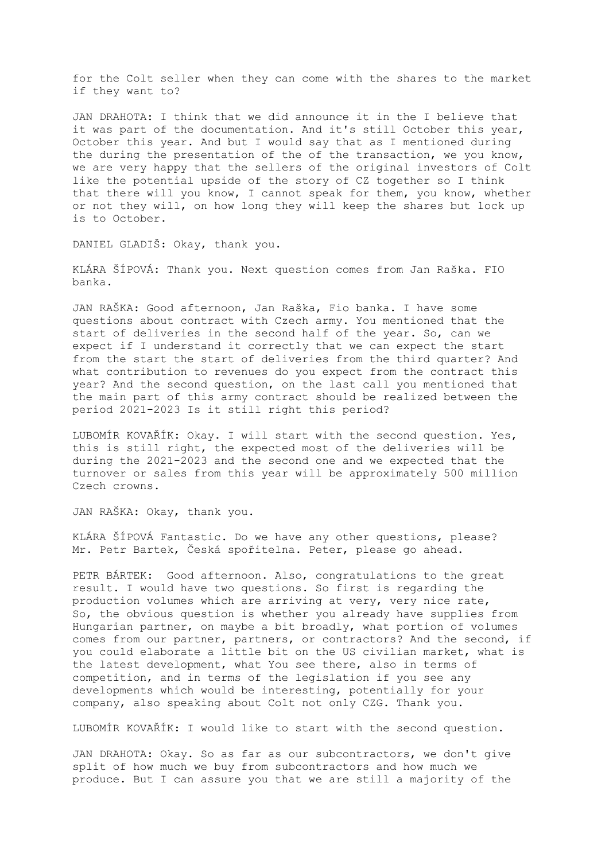for the Colt seller when they can come with the shares to the market if they want to?

JAN DRAHOTA: I think that we did announce it in the I believe that it was part of the documentation. And it's still October this year, October this year. And but I would say that as I mentioned during the during the presentation of the of the transaction, we you know, we are very happy that the sellers of the original investors of Colt like the potential upside of the story of CZ together so I think that there will you know, I cannot speak for them, you know, whether or not they will, on how long they will keep the shares but lock up is to October.

DANIEL GLADIŠ: Okay, thank you.

KLÁRA ŠÍPOVÁ: Thank you. Next question comes from Jan Raška. FIO banka.

JAN RAŠKA: Good afternoon, Jan Raška, Fio banka. I have some questions about contract with Czech army. You mentioned that the start of deliveries in the second half of the year. So, can we expect if I understand it correctly that we can expect the start from the start the start of deliveries from the third quarter? And what contribution to revenues do you expect from the contract this year? And the second question, on the last call you mentioned that the main part of this army contract should be realized between the period 2021-2023 Is it still right this period?

LUBOMÍR KOVAŘÍK: Okay. I will start with the second question. Yes, this is still right, the expected most of the deliveries will be during the 2021-2023 and the second one and we expected that the turnover or sales from this year will be approximately 500 million Czech crowns.

JAN RAŠKA: Okay, thank you.

KLÁRA ŠÍPOVÁ Fantastic. Do we have any other questions, please? Mr. Petr Bartek, Česká spořitelna. Peter, please go ahead.

PETR BÁRTEK: Good afternoon. Also, congratulations to the great result. I would have two questions. So first is regarding the production volumes which are arriving at very, very nice rate, So, the obvious question is whether you already have supplies from Hungarian partner, on maybe a bit broadly, what portion of volumes comes from our partner, partners, or contractors? And the second, if you could elaborate a little bit on the US civilian market, what is the latest development, what You see there, also in terms of competition, and in terms of the legislation if you see any developments which would be interesting, potentially for your company, also speaking about Colt not only CZG. Thank you.

LUBOMÍR KOVAŘÍK: I would like to start with the second question.

JAN DRAHOTA: Okay. So as far as our subcontractors, we don't give split of how much we buy from subcontractors and how much we produce. But I can assure you that we are still a majority of the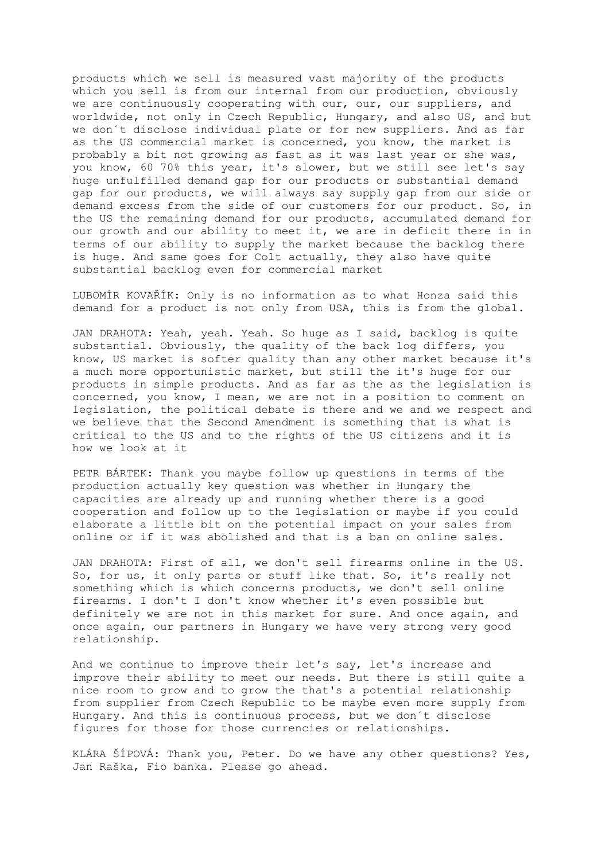products which we sell is measured vast majority of the products which you sell is from our internal from our production, obviously we are continuously cooperating with our, our, our suppliers, and worldwide, not only in Czech Republic, Hungary, and also US, and but we don´t disclose individual plate or for new suppliers. And as far as the US commercial market is concerned, you know, the market is probably a bit not growing as fast as it was last year or she was, you know, 60 70% this year, it's slower, but we still see let's say huge unfulfilled demand gap for our products or substantial demand gap for our products, we will always say supply gap from our side or demand excess from the side of our customers for our product. So, in the US the remaining demand for our products, accumulated demand for our growth and our ability to meet it, we are in deficit there in in terms of our ability to supply the market because the backlog there is huge. And same goes for Colt actually, they also have quite substantial backlog even for commercial market

LUBOMÍR KOVAŘÍK: Only is no information as to what Honza said this demand for a product is not only from USA, this is from the global.

JAN DRAHOTA: Yeah, yeah. Yeah. So huge as I said, backlog is quite substantial. Obviously, the quality of the back log differs, you know, US market is softer quality than any other market because it's a much more opportunistic market, but still the it's huge for our products in simple products. And as far as the as the legislation is concerned, you know, I mean, we are not in a position to comment on legislation, the political debate is there and we and we respect and we believe that the Second Amendment is something that is what is critical to the US and to the rights of the US citizens and it is how we look at it

PETR BÁRTEK: Thank you maybe follow up questions in terms of the production actually key question was whether in Hungary the capacities are already up and running whether there is a good cooperation and follow up to the legislation or maybe if you could elaborate a little bit on the potential impact on your sales from online or if it was abolished and that is a ban on online sales.

JAN DRAHOTA: First of all, we don't sell firearms online in the US. So, for us, it only parts or stuff like that. So, it's really not something which is which concerns products, we don't sell online firearms. I don't I don't know whether it's even possible but definitely we are not in this market for sure. And once again, and once again, our partners in Hungary we have very strong very good relationship.

And we continue to improve their let's say, let's increase and improve their ability to meet our needs. But there is still quite a nice room to grow and to grow the that's a potential relationship from supplier from Czech Republic to be maybe even more supply from Hungary. And this is continuous process, but we don´t disclose figures for those for those currencies or relationships.

KLÁRA ŠÍPOVÁ: Thank you, Peter. Do we have any other questions? Yes, Jan Raška, Fio banka. Please go ahead.